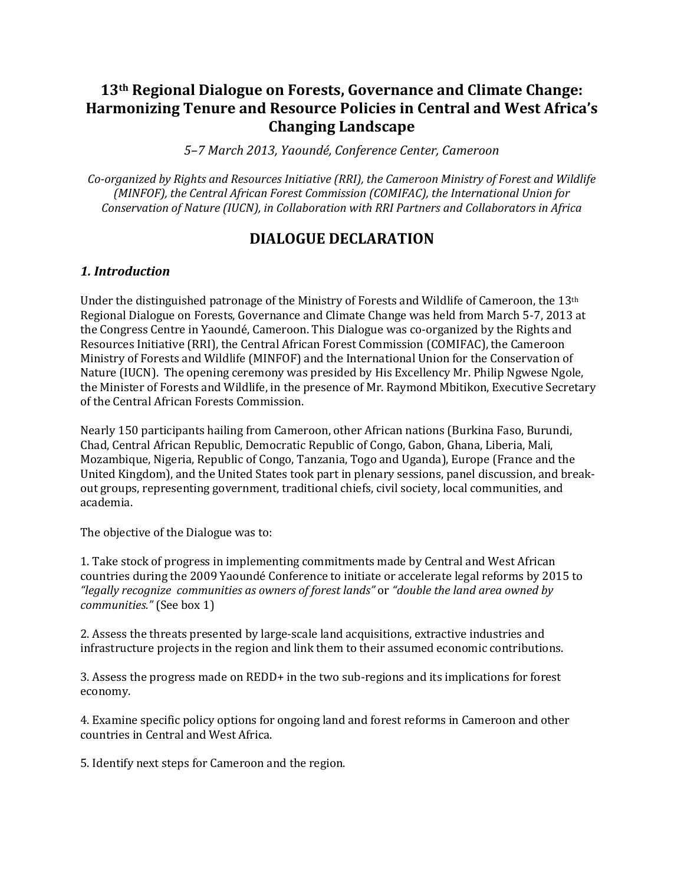# **13th Regional Dialogue on Forests, Governance and Climate Change: Harmonizing Tenure and Resource Policies in Central and West Africa's Changing Landscape**

*5–7 March 2013, Yaoundé, Conference Center, Cameroon*

*Co-organized by Rights and Resources Initiative (RRI), the Cameroon Ministry of Forest and Wildlife (MINFOF), the Central African Forest Commission (COMIFAC), the International Union for Conservation of Nature (IUCN), in Collaboration with RRI Partners and Collaborators in Africa*

# **DIALOGUE DECLARATION**

# *1. Introduction*

Under the distinguished patronage of the Ministry of Forests and Wildlife of Cameroon, the 13th Regional Dialogue on Forests, Governance and Climate Change was held from March 5-7, 2013 at the Congress Centre in Yaoundé, Cameroon. This Dialogue was co-organized by the Rights and Resources Initiative (RRI), the Central African Forest Commission (COMIFAC), the Cameroon Ministry of Forests and Wildlife (MINFOF) and the International Union for the Conservation of Nature (IUCN). The opening ceremony was presided by His Excellency Mr. Philip Ngwese Ngole, the Minister of Forests and Wildlife, in the presence of Mr. Raymond Mbitikon, Executive Secretary of the Central African Forests Commission.

Nearly 150 participants hailing from Cameroon, other African nations (Burkina Faso, Burundi, Chad, Central African Republic, Democratic Republic of Congo, Gabon, Ghana, Liberia, Mali, Mozambique, Nigeria, Republic of Congo, Tanzania, Togo and Uganda), Europe (France and the United Kingdom), and the United States took part in plenary sessions, panel discussion, and breakout groups, representing government, traditional chiefs, civil society, local communities, and academia.

The objective of the Dialogue was to:

1. Take stock of progress in implementing commitments made by Central and West African countries during the 2009 Yaoundé Conference to initiate or accelerate legal reforms by 2015 to *"legally recognize communities as owners of forest lands"* or *"double the land area owned by communities."* (See box 1)

2. Assess the threats presented by large-scale land acquisitions, extractive industries and infrastructure projects in the region and link them to their assumed economic contributions.

3. Assess the progress made on REDD+ in the two sub-regions and its implications for forest economy.

4. Examine specific policy options for ongoing land and forest reforms in Cameroon and other countries in Central and West Africa.

5. Identify next steps for Cameroon and the region.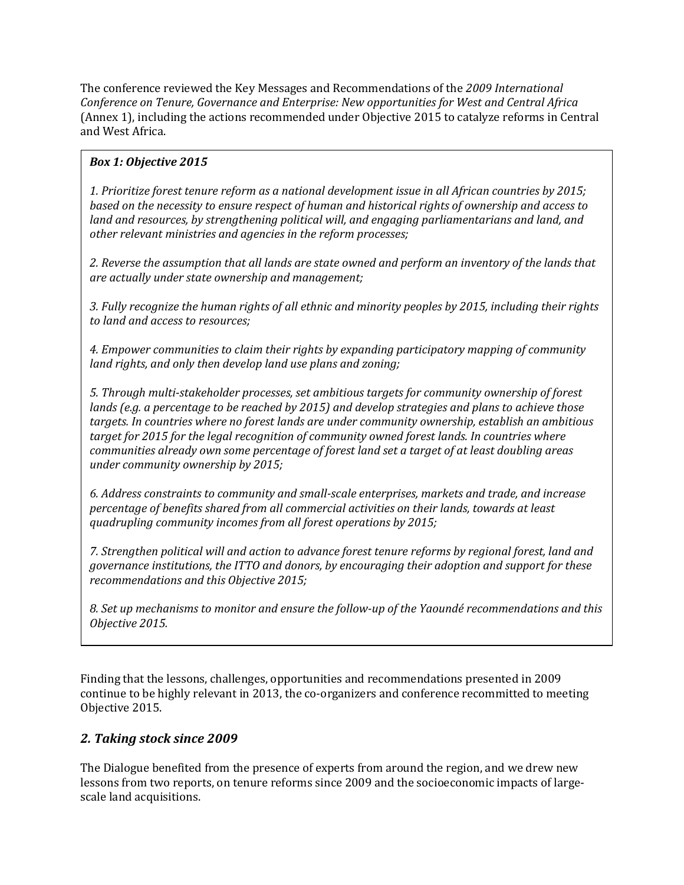The conference reviewed the Key Messages and Recommendations of the *2009 International Conference on Tenure, Governance and Enterprise: New opportunities for West and Central Africa* (Annex 1), including the actions recommended under Objective 2015 to catalyze reforms in Central and West Africa.

# *Box 1: Objective 2015*

*1. Prioritize forest tenure reform as a national development issue in all African countries by 2015; based on the necessity to ensure respect of human and historical rights of ownership and access to land and resources, by strengthening political will, and engaging parliamentarians and land, and other relevant ministries and agencies in the reform processes;*

*2. Reverse the assumption that all lands are state owned and perform an inventory of the lands that are actually under state ownership and management;*

*3. Fully recognize the human rights of all ethnic and minority peoples by 2015, including their rights to land and access to resources;*

*4. Empower communities to claim their rights by expanding participatory mapping of community land rights, and only then develop land use plans and zoning;*

*5. Through multi‐stakeholder processes, set ambitious targets for community ownership of forest lands (e.g. a percentage to be reached by 2015) and develop strategies and plans to achieve those targets. In countries where no forest lands are under community ownership, establish an ambitious target for 2015 for the legal recognition of community owned forest lands. In countries where communities already own some percentage of forest land set a target of at least doubling areas under community ownership by 2015;*

*6. Address constraints to community and small‐scale enterprises, markets and trade, and increase percentage of benefits shared from all commercial activities on their lands, towards at least quadrupling community incomes from all forest operations by 2015;*

*7. Strengthen political will and action to advance forest tenure reforms by regional forest, land and governance institutions, the ITTO and donors, by encouraging their adoption and support for these recommendations and this Objective 2015;*

*8. Set up mechanisms to monitor and ensure the follow‐up of the Yaoundé recommendations and this Objective 2015.*

Finding that the lessons, challenges, opportunities and recommendations presented in 2009 continue to be highly relevant in 2013, the co-organizers and conference recommitted to meeting Objective 2015.

# *2. Taking stock since 2009*

The Dialogue benefited from the presence of experts from around the region, and we drew new lessons from two reports, on tenure reforms since 2009 and the socioeconomic impacts of largescale land acquisitions.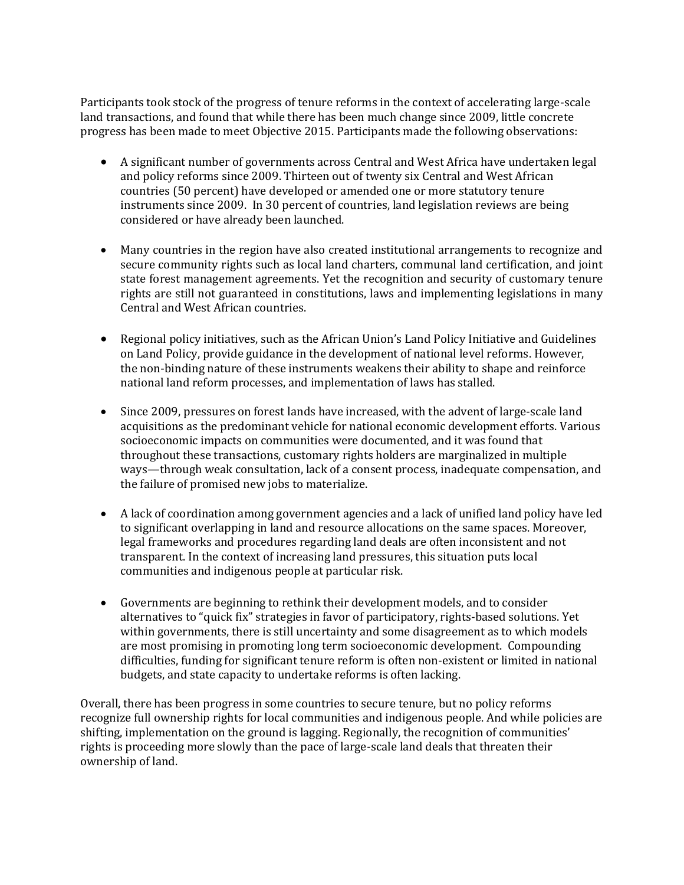Participants took stock of the progress of tenure reforms in the context of accelerating large-scale land transactions, and found that while there has been much change since 2009, little concrete progress has been made to meet Objective 2015. Participants made the following observations:

- A significant number of governments across Central and West Africa have undertaken legal and policy reforms since 2009. Thirteen out of twenty six Central and West African countries (50 percent) have developed or amended one or more statutory tenure instruments since 2009. In 30 percent of countries, land legislation reviews are being considered or have already been launched.
- Many countries in the region have also created institutional arrangements to recognize and secure community rights such as local land charters, communal land certification, and joint state forest management agreements. Yet the recognition and security of customary tenure rights are still not guaranteed in constitutions, laws and implementing legislations in many Central and West African countries.
- Regional policy initiatives, such as the African Union's Land Policy Initiative and Guidelines on Land Policy, provide guidance in the development of national level reforms. However, the non-binding nature of these instruments weakens their ability to shape and reinforce national land reform processes, and implementation of laws has stalled.
- Since 2009, pressures on forest lands have increased, with the advent of large-scale land acquisitions as the predominant vehicle for national economic development efforts. Various socioeconomic impacts on communities were documented, and it was found that throughout these transactions, customary rights holders are marginalized in multiple ways—through weak consultation, lack of a consent process, inadequate compensation, and the failure of promised new jobs to materialize.
- A lack of coordination among government agencies and a lack of unified land policy have led to significant overlapping in land and resource allocations on the same spaces. Moreover, legal frameworks and procedures regarding land deals are often inconsistent and not transparent. In the context of increasing land pressures, this situation puts local communities and indigenous people at particular risk.
- Governments are beginning to rethink their development models, and to consider alternatives to "quick fix" strategies in favor of participatory, rights-based solutions. Yet within governments, there is still uncertainty and some disagreement as to which models are most promising in promoting long term socioeconomic development. Compounding difficulties, funding for significant tenure reform is often non-existent or limited in national budgets, and state capacity to undertake reforms is often lacking.

Overall, there has been progress in some countries to secure tenure, but no policy reforms recognize full ownership rights for local communities and indigenous people. And while policies are shifting, implementation on the ground is lagging. Regionally, the recognition of communities' rights is proceeding more slowly than the pace of large-scale land deals that threaten their ownership of land.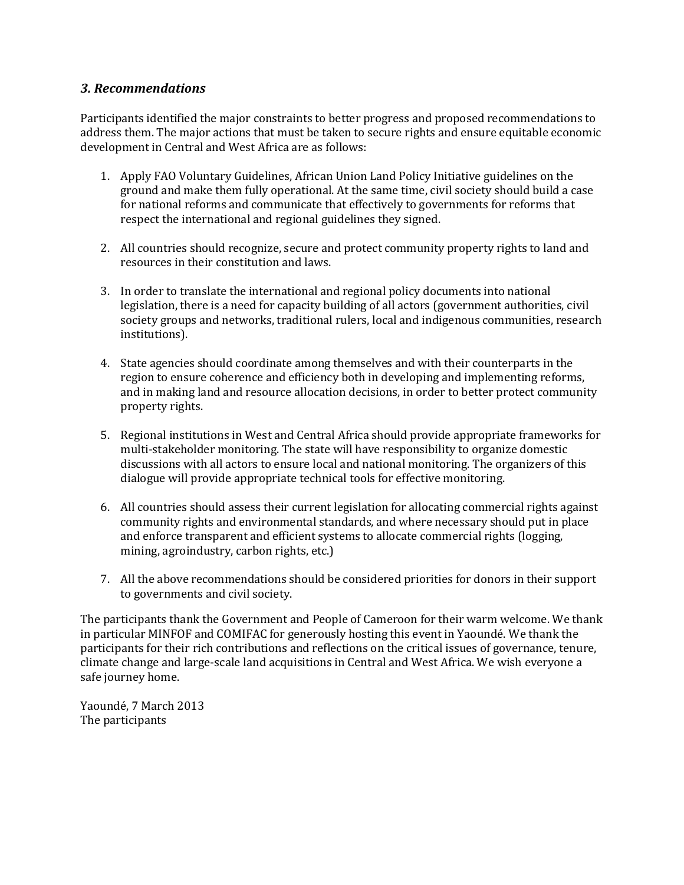# *3. Recommendations*

Participants identified the major constraints to better progress and proposed recommendations to address them. The major actions that must be taken to secure rights and ensure equitable economic development in Central and West Africa are as follows:

- 1. Apply FAO Voluntary Guidelines, African Union Land Policy Initiative guidelines on the ground and make them fully operational. At the same time, civil society should build a case for national reforms and communicate that effectively to governments for reforms that respect the international and regional guidelines they signed.
- 2. All countries should recognize, secure and protect community property rights to land and resources in their constitution and laws.
- 3. In order to translate the international and regional policy documents into national legislation, there is a need for capacity building of all actors (government authorities, civil society groups and networks, traditional rulers, local and indigenous communities, research institutions).
- 4. State agencies should coordinate among themselves and with their counterparts in the region to ensure coherence and efficiency both in developing and implementing reforms, and in making land and resource allocation decisions, in order to better protect community property rights.
- 5. Regional institutions in West and Central Africa should provide appropriate frameworks for multi-stakeholder monitoring. The state will have responsibility to organize domestic discussions with all actors to ensure local and national monitoring. The organizers of this dialogue will provide appropriate technical tools for effective monitoring.
- 6. All countries should assess their current legislation for allocating commercial rights against community rights and environmental standards, and where necessary should put in place and enforce transparent and efficient systems to allocate commercial rights (logging, mining, agroindustry, carbon rights, etc.)
- 7. All the above recommendations should be considered priorities for donors in their support to governments and civil society.

The participants thank the Government and People of Cameroon for their warm welcome. We thank in particular MINFOF and COMIFAC for generously hosting this event in Yaoundé. We thank the participants for their rich contributions and reflections on the critical issues of governance, tenure, climate change and large-scale land acquisitions in Central and West Africa. We wish everyone a safe journey home.

Yaoundé, 7 March 2013 The participants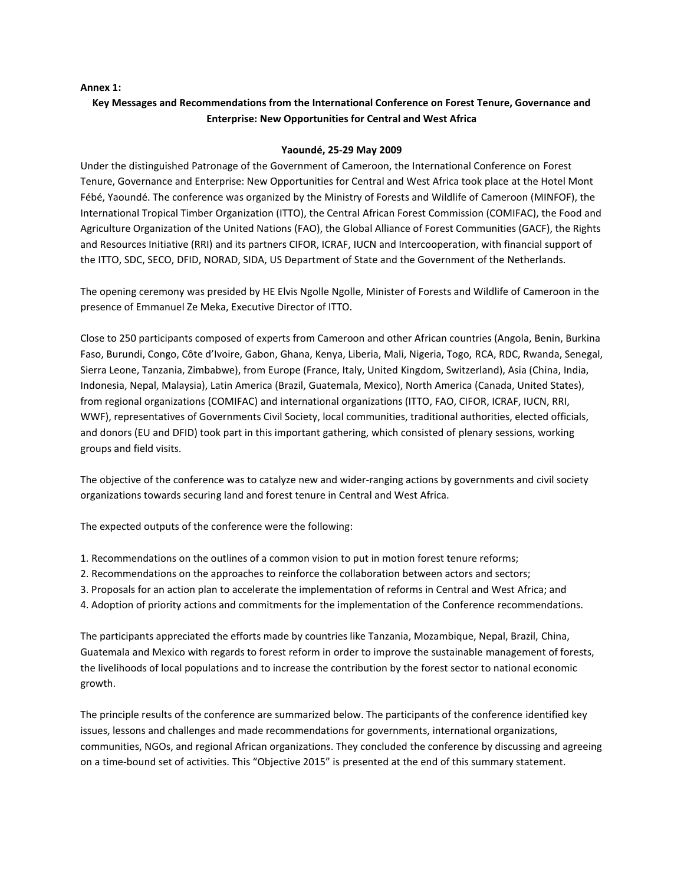#### **Annex 1:**

# **Key Messages and Recommendations from the International Conference on Forest Tenure, Governance and Enterprise: New Opportunities for Central and West Africa**

#### **Yaoundé, 25‐29 May 2009**

Under the distinguished Patronage of the Government of Cameroon, the International Conference on Forest Tenure, Governance and Enterprise: New Opportunities for Central and West Africa took place at the Hotel Mont Fébé, Yaoundé. The conference was organized by the Ministry of Forests and Wildlife of Cameroon (MINFOF), the International Tropical Timber Organization (ITTO), the Central African Forest Commission (COMIFAC), the Food and Agriculture Organization of the United Nations (FAO), the Global Alliance of Forest Communities (GACF), the Rights and Resources Initiative (RRI) and its partners CIFOR, ICRAF, IUCN and Intercooperation, with financial support of the ITTO, SDC, SECO, DFID, NORAD, SIDA, US Department of State and the Government of the Netherlands.

The opening ceremony was presided by HE Elvis Ngolle Ngolle, Minister of Forests and Wildlife of Cameroon in the presence of Emmanuel Ze Meka, Executive Director of ITTO.

Close to 250 participants composed of experts from Cameroon and other African countries (Angola, Benin, Burkina Faso, Burundi, Congo, Côte d'Ivoire, Gabon, Ghana, Kenya, Liberia, Mali, Nigeria, Togo, RCA, RDC, Rwanda, Senegal, Sierra Leone, Tanzania, Zimbabwe), from Europe (France, Italy, United Kingdom, Switzerland), Asia (China, India, Indonesia, Nepal, Malaysia), Latin America (Brazil, Guatemala, Mexico), North America (Canada, United States), from regional organizations (COMIFAC) and international organizations (ITTO, FAO, CIFOR, ICRAF, IUCN, RRI, WWF), representatives of Governments Civil Society, local communities, traditional authorities, elected officials, and donors (EU and DFID) took part in this important gathering, which consisted of plenary sessions, working groups and field visits.

The objective of the conference was to catalyze new and wider‐ranging actions by governments and civil society organizations towards securing land and forest tenure in Central and West Africa.

The expected outputs of the conference were the following:

- 1. Recommendations on the outlines of a common vision to put in motion forest tenure reforms;
- 2. Recommendations on the approaches to reinforce the collaboration between actors and sectors;
- 3. Proposals for an action plan to accelerate the implementation of reforms in Central and West Africa; and
- 4. Adoption of priority actions and commitments for the implementation of the Conference recommendations.

The participants appreciated the efforts made by countries like Tanzania, Mozambique, Nepal, Brazil, China, Guatemala and Mexico with regards to forest reform in order to improve the sustainable management of forests, the livelihoods of local populations and to increase the contribution by the forest sector to national economic growth.

The principle results of the conference are summarized below. The participants of the conference identified key issues, lessons and challenges and made recommendations for governments, international organizations, communities, NGOs, and regional African organizations. They concluded the conference by discussing and agreeing on a time‐bound set of activities. This "Objective 2015" is presented at the end of this summary statement.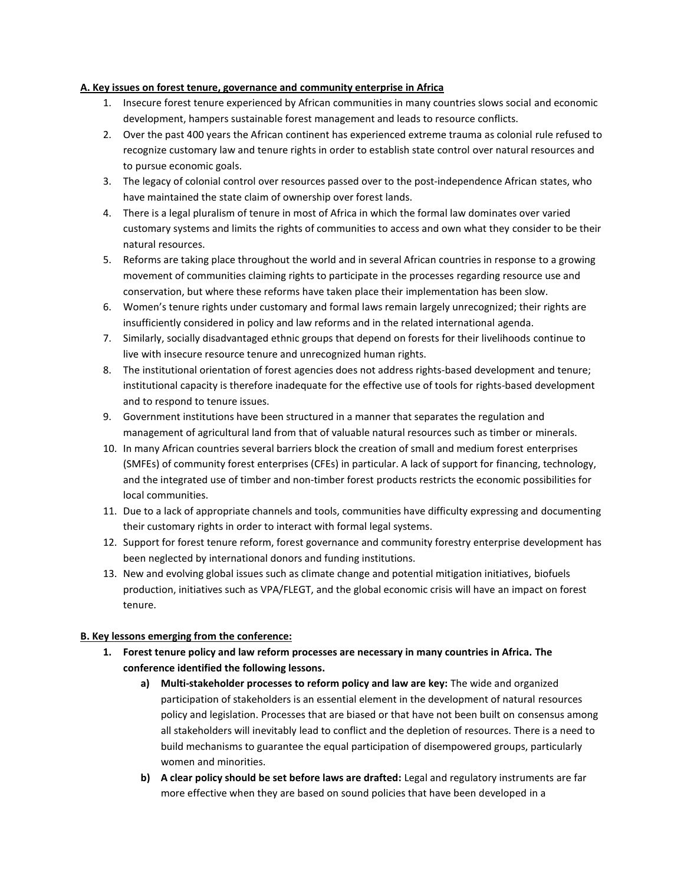### **A. Key issues on forest tenure, governance and community enterprise in Africa**

- 1. Insecure forest tenure experienced by African communities in many countries slows social and economic development, hampers sustainable forest management and leads to resource conflicts.
- 2. Over the past 400 years the African continent has experienced extreme trauma as colonial rule refused to recognize customary law and tenure rights in order to establish state control over natural resources and to pursue economic goals.
- 3. The legacy of colonial control over resources passed over to the post-independence African states, who have maintained the state claim of ownership over forest lands.
- 4. There is a legal pluralism of tenure in most of Africa in which the formal law dominates over varied customary systems and limits the rights of communities to access and own what they consider to be their natural resources.
- 5. Reforms are taking place throughout the world and in several African countries in response to a growing movement of communities claiming rights to participate in the processes regarding resource use and conservation, but where these reforms have taken place their implementation has been slow.
- 6. Women's tenure rights under customary and formal laws remain largely unrecognized; their rights are insufficiently considered in policy and law reforms and in the related international agenda.
- 7. Similarly, socially disadvantaged ethnic groups that depend on forests for their livelihoods continue to live with insecure resource tenure and unrecognized human rights.
- 8. The institutional orientation of forest agencies does not address rights-based development and tenure; institutional capacity is therefore inadequate for the effective use of tools for rights‐based development and to respond to tenure issues.
- 9. Government institutions have been structured in a manner that separates the regulation and management of agricultural land from that of valuable natural resources such as timber or minerals.
- 10. In many African countries several barriers block the creation of small and medium forest enterprises (SMFEs) of community forest enterprises (CFEs) in particular. A lack of support for financing, technology, and the integrated use of timber and non-timber forest products restricts the economic possibilities for local communities.
- 11. Due to a lack of appropriate channels and tools, communities have difficulty expressing and documenting their customary rights in order to interact with formal legal systems.
- 12. Support for forest tenure reform, forest governance and community forestry enterprise development has been neglected by international donors and funding institutions.
- 13. New and evolving global issues such as climate change and potential mitigation initiatives, biofuels production, initiatives such as VPA/FLEGT, and the global economic crisis will have an impact on forest tenure.

### **B. Key lessons emerging from the conference:**

- **1. Forest tenure policy and law reform processes are necessary in many countries in Africa. The conference identified the following lessons.**
	- **a) Multi‐stakeholder processes to reform policy and law are key:** The wide and organized participation of stakeholders is an essential element in the development of natural resources policy and legislation. Processes that are biased or that have not been built on consensus among all stakeholders will inevitably lead to conflict and the depletion of resources. There is a need to build mechanisms to guarantee the equal participation of disempowered groups, particularly women and minorities.
	- **b) A clear policy should be set before laws are drafted:** Legal and regulatory instruments are far more effective when they are based on sound policies that have been developed in a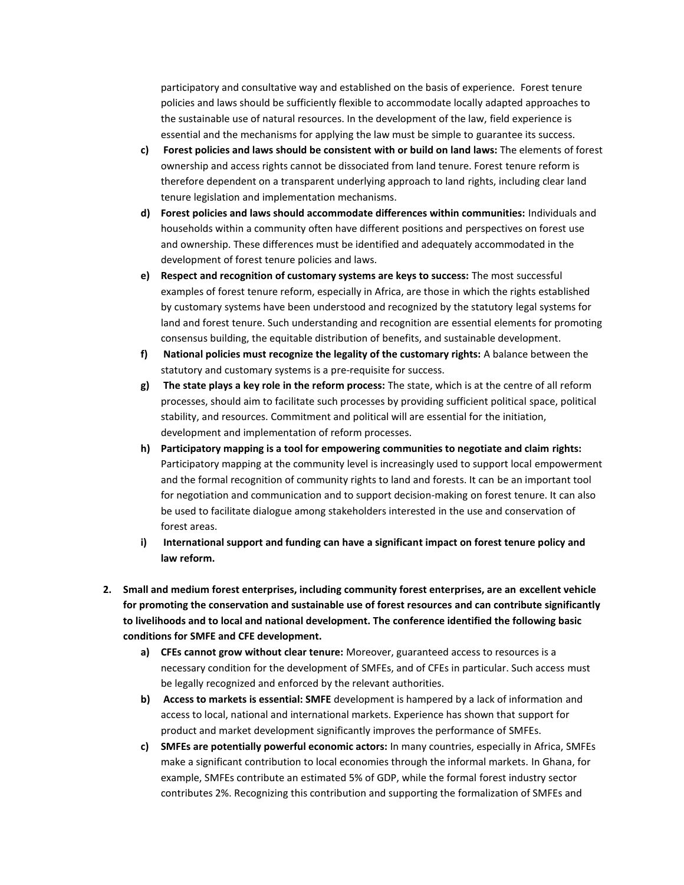participatory and consultative way and established on the basis of experience. Forest tenure policies and laws should be sufficiently flexible to accommodate locally adapted approaches to the sustainable use of natural resources. In the development of the law, field experience is essential and the mechanisms for applying the law must be simple to guarantee its success.

- **c) Forest policies and laws should be consistent with or build on land laws:** The elements of forest ownership and access rights cannot be dissociated from land tenure. Forest tenure reform is therefore dependent on a transparent underlying approach to land rights, including clear land tenure legislation and implementation mechanisms.
- **d) Forest policies and laws should accommodate differences within communities:** Individuals and households within a community often have different positions and perspectives on forest use and ownership. These differences must be identified and adequately accommodated in the development of forest tenure policies and laws.
- **e) Respect and recognition of customary systems are keys to success:** The most successful examples of forest tenure reform, especially in Africa, are those in which the rights established by customary systems have been understood and recognized by the statutory legal systems for land and forest tenure. Such understanding and recognition are essential elements for promoting consensus building, the equitable distribution of benefits, and sustainable development.
- **f) National policies must recognize the legality of the customary rights:** A balance between the statutory and customary systems is a pre‐requisite for success.
- **g) The state plays a key role in the reform process:** The state, which is at the centre of all reform processes, should aim to facilitate such processes by providing sufficient political space, political stability, and resources. Commitment and political will are essential for the initiation, development and implementation of reform processes.
- **h) Participatory mapping is a tool for empowering communities to negotiate and claim rights:**  Participatory mapping at the community level is increasingly used to support local empowerment and the formal recognition of community rights to land and forests. It can be an important tool for negotiation and communication and to support decision-making on forest tenure. It can also be used to facilitate dialogue among stakeholders interested in the use and conservation of forest areas.
- **i) International support and funding can have a significant impact on forest tenure policy and law reform.**
- **2. Small and medium forest enterprises, including community forest enterprises, are an excellent vehicle for promoting the conservation and sustainable use of forest resources and can contribute significantly to livelihoods and to local and national development. The conference identified the following basic conditions for SMFE and CFE development.**
	- **a) CFEs cannot grow without clear tenure:** Moreover, guaranteed access to resources is a necessary condition for the development of SMFEs, and of CFEs in particular. Such access must be legally recognized and enforced by the relevant authorities.
	- **b) Access to markets is essential: SMFE** development is hampered by a lack of information and access to local, national and international markets. Experience has shown that support for product and market development significantly improves the performance of SMFEs.
	- **c) SMFEs are potentially powerful economic actors:** In many countries, especially in Africa, SMFEs make a significant contribution to local economies through the informal markets. In Ghana, for example, SMFEs contribute an estimated 5% of GDP, while the formal forest industry sector contributes 2%. Recognizing this contribution and supporting the formalization of SMFEs and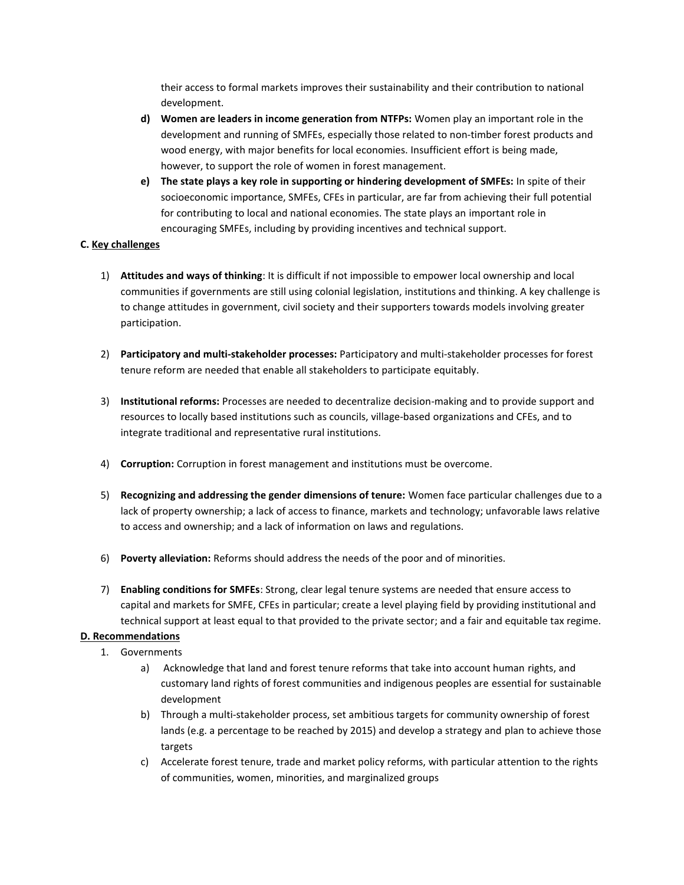their access to formal markets improves their sustainability and their contribution to national development.

- **d) Women are leaders in income generation from NTFPs:** Women play an important role in the development and running of SMFEs, especially those related to non-timber forest products and wood energy, with major benefits for local economies. Insufficient effort is being made, however, to support the role of women in forest management.
- **e) The state plays a key role in supporting or hindering development of SMFEs:** In spite of their socioeconomic importance, SMFEs, CFEs in particular, are far from achieving their full potential for contributing to local and national economies. The state plays an important role in encouraging SMFEs, including by providing incentives and technical support.

## **C. Key challenges**

- 1) **Attitudes and ways of thinking**: It is difficult if not impossible to empower local ownership and local communities if governments are still using colonial legislation, institutions and thinking. A key challenge is to change attitudes in government, civil society and their supporters towards models involving greater participation.
- 2) **Participatory and multi‐stakeholder processes:** Participatory and multi‐stakeholder processes for forest tenure reform are needed that enable all stakeholders to participate equitably.
- 3) **Institutional reforms:** Processes are needed to decentralize decision‐making and to provide support and resources to locally based institutions such as councils, village‐based organizations and CFEs, and to integrate traditional and representative rural institutions.
- 4) **Corruption:** Corruption in forest management and institutions must be overcome.
- 5) **Recognizing and addressing the gender dimensions of tenure:** Women face particular challenges due to a lack of property ownership; a lack of access to finance, markets and technology; unfavorable laws relative to access and ownership; and a lack of information on laws and regulations.
- 6) **Poverty alleviation:** Reforms should address the needs of the poor and of minorities.
- 7) **Enabling conditions for SMFEs**: Strong, clear legal tenure systems are needed that ensure access to capital and markets for SMFE, CFEs in particular; create a level playing field by providing institutional and technical support at least equal to that provided to the private sector; and a fair and equitable tax regime.

### **D. Recommendations**

- 1. Governments
	- a) Acknowledge that land and forest tenure reforms that take into account human rights, and customary land rights of forest communities and indigenous peoples are essential for sustainable development
	- b) Through a multi‐stakeholder process, set ambitious targets for community ownership of forest lands (e.g. a percentage to be reached by 2015) and develop a strategy and plan to achieve those targets
	- c) Accelerate forest tenure, trade and market policy reforms, with particular attention to the rights of communities, women, minorities, and marginalized groups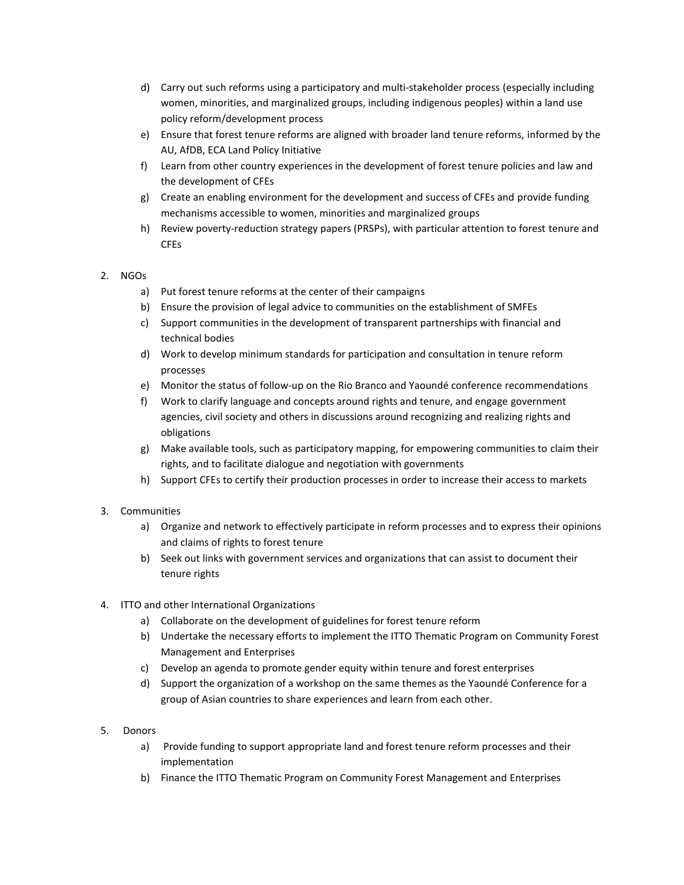- d) Carry out such reforms using a participatory and multi‐stakeholder process (especially including women, minorities, and marginalized groups, including indigenous peoples) within a land use policy reform/development process
- e) Ensure that forest tenure reforms are aligned with broader land tenure reforms, informed by the AU, AfDB, ECA Land Policy Initiative
- f) Learn from other country experiences in the development of forest tenure policies and law and the development of CFEs
- g) Create an enabling environment for the development and success of CFEs and provide funding mechanisms accessible to women, minorities and marginalized groups
- h) Review poverty-reduction strategy papers (PRSPs), with particular attention to forest tenure and **CFE<sub>s</sub>**

## 2. NGOs

- a) Put forest tenure reforms at the center of their campaigns
- b) Ensure the provision of legal advice to communities on the establishment of SMFEs
- c) Support communities in the development of transparent partnerships with financial and technical bodies
- d) Work to develop minimum standards for participation and consultation in tenure reform processes
- e) Monitor the status of follow‐up on the Rio Branco and Yaoundé conference recommendations
- f) Work to clarify language and concepts around rights and tenure, and engage government agencies, civil society and others in discussions around recognizing and realizing rights and obligations
- g) Make available tools, such as participatory mapping, for empowering communities to claim their rights, and to facilitate dialogue and negotiation with governments
- h) Support CFEs to certify their production processes in order to increase their access to markets

### 3. Communities

- a) Organize and network to effectively participate in reform processes and to express their opinions and claims of rights to forest tenure
- b) Seek out links with government services and organizations that can assist to document their tenure rights
- 4. ITTO and other International Organizations
	- a) Collaborate on the development of guidelines for forest tenure reform
	- b) Undertake the necessary efforts to implement the ITTO Thematic Program on Community Forest Management and Enterprises
	- c) Develop an agenda to promote gender equity within tenure and forest enterprises
	- d) Support the organization of a workshop on the same themes as the Yaoundé Conference for a group of Asian countries to share experiences and learn from each other.
- 5. Donors
	- a) Provide funding to support appropriate land and forest tenure reform processes and their implementation
	- b) Finance the ITTO Thematic Program on Community Forest Management and Enterprises